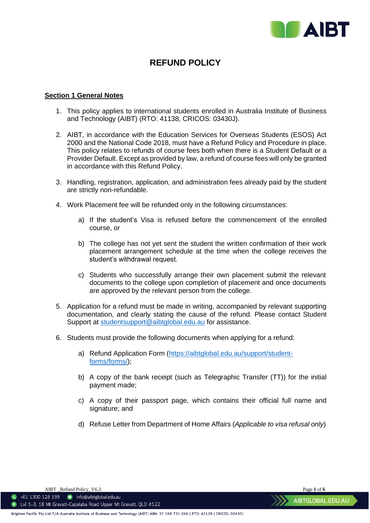

# **REFUND POLICY**

## **Section 1 General Notes**

- 1. This policy applies to international students enrolled in Australia Institute of Business and Technology (AIBT) (RTO: 41138, CRICOS: 03430J).
- 2. AIBT, in accordance with the Education Services for Overseas Students (ESOS) Act 2000 and the National Code 2018, must have a Refund Policy and Procedure in place. This policy relates to refunds of course fees both when there is a Student Default or a Provider Default. Except as provided by law, a refund of course fees will only be granted in accordance with this Refund Policy.
- 3. Handling, registration, application, and administration fees already paid by the student are strictly non-refundable.
- 4. Work Placement fee will be refunded only in the following circumstances:
	- a) If the student's Visa is refused before the commencement of the enrolled course, or
	- b) The college has not yet sent the student the written confirmation of their work placement arrangement schedule at the time when the college receives the student's withdrawal request.
	- c) Students who successfully arrange their own placement submit the relevant documents to the college upon completion of placement and once documents are approved by the relevant person from the college.
- 5. Application for a refund must be made in writing, accompanied by relevant supporting documentation, and clearly stating the cause of the refund. Please contact Student Support at [studentsupport@aibtglobal.edu.au](mailto:studentsupport@aibtglobal.edu.au) for assistance.
- 6. Students must provide the following documents when applying for a refund:
	- a) Refund Application Form [\(https://aibtglobal.edu.au/support/student](https://aibtglobal.edu.au/support/student-forms/forms/)[forms/forms/\)](https://aibtglobal.edu.au/support/student-forms/forms/);
	- b) A copy of the bank receipt (such as Telegraphic Transfer (TT)) for the initial payment made;
	- c) A copy of their passport page, which contains their official full name and signature; and
	- d) Refuse Letter from Department of Home Affairs (*Applicable to visa refusal only*)

AIBT \_Refund Policy\_V6.3 Page **1** of **6**

 $\bullet$  +61 1300 128 199  $\bullet$  info@aibtglobal.edu.au O Lvl 1-3, 18 Mt Gravatt-Capalaba Road Upper Mt Gravatt, QLD 4122

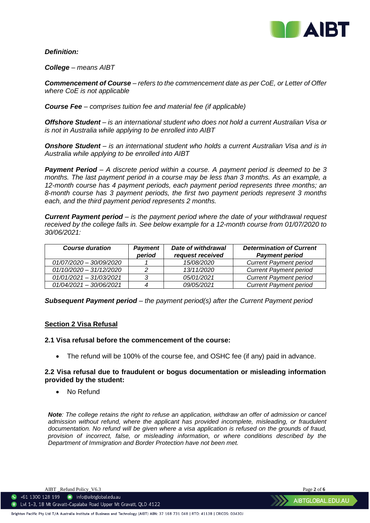

# *Definition:*

*College – means AIBT*

*Commencement of Course – refers to the commencement date as per CoE, or Letter of Offer where CoE is not applicable*

*Course Fee – comprises tuition fee and material fee (if applicable)*

*Offshore Student – is an international student who does not hold a current Australian Visa or is not in Australia while applying to be enrolled into AIBT*

*Onshore Student – is an international student who holds a current Australian Visa and is in Australia while applying to be enrolled into AIBT*

*Payment Period – A discrete period within a course. A payment period is deemed to be 3 months. The last payment period in a course may be less than 3 months. As an example, a 12-month course has 4 payment periods, each payment period represents three months; an 8-month course has 3 payment periods, the first two payment periods represent 3 months each, and the third payment period represents 2 months.*

*Current Payment period – is the payment period where the date of your withdrawal request received by the college falls in. See below example for a 12-month course from 01/07/2020 to 30/06/2021:*

| <b>Course duration</b>    | <b>Payment</b><br>period | Date of withdrawal<br>request received | <b>Determination of Current</b><br><b>Payment period</b> |
|---------------------------|--------------------------|----------------------------------------|----------------------------------------------------------|
| 01/07/2020 - 30/09/2020   |                          | 15/08/2020                             | <b>Current Payment period</b>                            |
| $01/10/2020 - 31/12/2020$ |                          | 13/11/2020                             | <b>Current Payment period</b>                            |
| $01/01/2021 - 31/03/2021$ |                          | 05/01/2021                             | <b>Current Payment period</b>                            |
| $01/04/2021 - 30/06/2021$ |                          | 09/05/2021                             | <b>Current Payment period</b>                            |

*Subsequent Payment period – the payment period(s) after the Current Payment period*

## **Section 2 Visa Refusal**

## **2.1 Visa refusal before the commencement of the course:**

• The refund will be 100% of the course fee, and OSHC fee (if any) paid in advance.

# **2.2 Visa refusal due to fraudulent or bogus documentation or misleading information provided by the student:**

• No Refund

*Note: The college retains the right to refuse an application, withdraw an offer of admission or cancel admission without refund, where the applicant has provided incomplete, misleading, or fraudulent documentation. No refund will be given where a visa application is refused on the grounds of fraud, provision of incorrect, false, or misleading information, or where conditions described by the Department of Immigration and Border Protection have not been met.* 

AIBT \_Refund Policy\_V6.3 Page **2** of **6**

 $\bullet$  +61 1300 128 199  $\bullet$  info@aibtglobal.edu.au 122 Lvl 1-3, 18 Mt Gravatt-Capalaba Road Upper Mt Gravatt, QLD 4122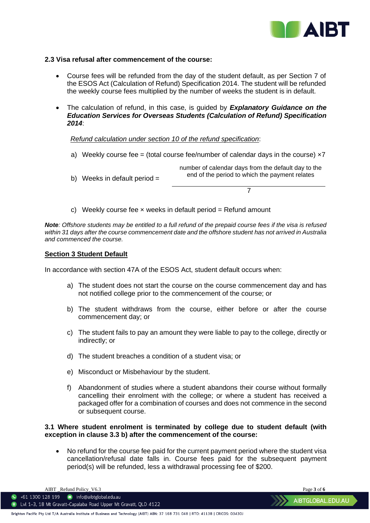

AIBTGLOBAL.EDU.AU

## **2.3 Visa refusal after commencement of the course:**

- Course fees will be refunded from the day of the student default, as per Section 7 of the ESOS Act (Calculation of Refund) Specification 2014. The student will be refunded the weekly course fees multiplied by the number of weeks the student is in default.
- The calculation of refund, in this case, is guided by *Explanatory Guidance on the Education Services for Overseas Students (Calculation of Refund) Specification 2014*:

## *Refund calculation under section 10 of the refund specification*:

- a) Weekly course fee = (total course fee/number of calendar days in the course)  $\times 7$
- b) Weeks in default period  $=$ number of calendar days from the default day to the end of the period to which the payment relates

7

c) Weekly course fee  $\times$  weeks in default period = Refund amount

*Note: Offshore students may be entitled to a full refund of the prepaid course fees if the visa is refused within 31 days after the course commencement date and the offshore student has not arrived in Australia and commenced the course.*

# **Section 3 Student Default**

In accordance with section 47A of the ESOS Act, student default occurs when:

- a) The student does not start the course on the course commencement day and has not notified college prior to the commencement of the course; or
- b) The student withdraws from the course, either before or after the course commencement day; or
- c) The student fails to pay an amount they were liable to pay to the college, directly or indirectly; or
- d) The student breaches a condition of a student visa; or
- e) Misconduct or Misbehaviour by the student.
- f) Abandonment of studies where a student abandons their course without formally cancelling their enrolment with the college; or where a student has received a packaged offer for a combination of courses and does not commence in the second or subsequent course.

# **3.1 Where student enrolment is terminated by college due to student default (with exception in clause 3.3 b) after the commencement of the course:**

• No refund for the course fee paid for the current payment period where the student visa cancellation/refusal date falls in. Course fees paid for the subsequent payment period(s) will be refunded, less a withdrawal processing fee of \$200.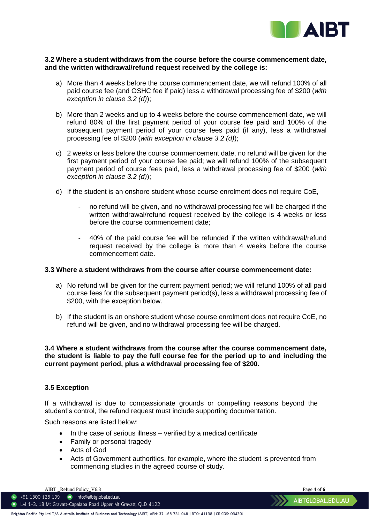

## **3.2 Where a student withdraws from the course before the course commencement date, and the written withdrawal/refund request received by the college is:**

- a) More than 4 weeks before the course commencement date, we will refund 100% of all paid course fee (and OSHC fee if paid) less a withdrawal processing fee of \$200 (*with exception in clause 3.2 (d)*);
- b) More than 2 weeks and up to 4 weeks before the course commencement date, we will refund 80% of the first payment period of your course fee paid and 100% of the subsequent payment period of your course fees paid (if any), less a withdrawal processing fee of \$200 (*with exception in clause 3.2 (d)*);
- c) 2 weeks or less before the course commencement date, no refund will be given for the first payment period of your course fee paid; we will refund 100% of the subsequent payment period of course fees paid, less a withdrawal processing fee of \$200 (*with exception in clause 3.2 (d)*);
- d) If the student is an onshore student whose course enrolment does not require CoE,
	- no refund will be given, and no withdrawal processing fee will be charged if the written withdrawal/refund request received by the college is 4 weeks or less before the course commencement date;
	- 40% of the paid course fee will be refunded if the written withdrawal/refund request received by the college is more than 4 weeks before the course commencement date.

# **3.3 Where a student withdraws from the course after course commencement date:**

- a) No refund will be given for the current payment period; we will refund 100% of all paid course fees for the subsequent payment period(s), less a withdrawal processing fee of \$200, with the exception below.
- b) If the student is an onshore student whose course enrolment does not require CoE, no refund will be given, and no withdrawal processing fee will be charged.

## **3.4 Where a student withdraws from the course after the course commencement date, the student is liable to pay the full course fee for the period up to and including the current payment period, plus a withdrawal processing fee of \$200.**

## **3.5 Exception**

If a withdrawal is due to compassionate grounds or compelling reasons beyond the student's control, the refund request must include supporting documentation.

Such reasons are listed below:

- In the case of serious illness verified by a medical certificate
- Family or personal tragedy
- Acts of God
- Acts of Government authorities, for example, where the student is prevented from commencing studies in the agreed course of study.

AIBT \_Refund Policy\_V6.3 Page **4** of **6**

 $\bullet$  +61 1300 128 199  $\bullet$  info@aibtglobal.edu.au O Lvl 1-3, 18 Mt Gravatt-Capalaba Road Upper Mt Gravatt, QLD 4122

AIBTGLOBAL.EDU.AU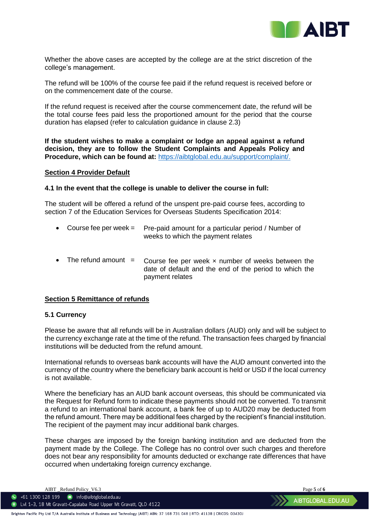

Whether the above cases are accepted by the college are at the strict discretion of the college's management.

The refund will be 100% of the course fee paid if the refund request is received before or on the commencement date of the course.

If the refund request is received after the course commencement date, the refund will be the total course fees paid less the proportioned amount for the period that the course duration has elapsed (refer to calculation guidance in clause 2.3)

**If the student wishes to make a complaint or lodge an appeal against a refund decision, they are to follow the Student Complaints and Appeals Policy and Procedure, which can be found at:** [https://aibtglobal.edu.au/support/complaint/.](https://aibtglobal.edu.au/support/complaint/)

#### **Section 4 Provider Default**

#### **4.1 In the event that the college is unable to deliver the course in full:**

The student will be offered a refund of the unspent pre-paid course fees, according to section 7 of the Education Services for Overseas Students Specification 2014:

- Course fee per week  $=$ Pre-paid amount for a particular period / Number of weeks to which the payment relates
- The refund amount  $=$ Course fee per week  $x$  number of weeks between the date of default and the end of the period to which the payment relates

## **Section 5 Remittance of refunds**

## **5.1 Currency**

Please be aware that all refunds will be in Australian dollars (AUD) only and will be subject to the currency exchange rate at the time of the refund. The transaction fees charged by financial institutions will be deducted from the refund amount.

International refunds to overseas bank accounts will have the AUD amount converted into the currency of the country where the beneficiary bank account is held or USD if the local currency is not available.

Where the beneficiary has an AUD bank account overseas, this should be communicated via the Request for Refund form to indicate these payments should not be converted. To transmit a refund to an international bank account, a bank fee of up to AUD20 may be deducted from the refund amount. There may be additional fees charged by the recipient's financial institution. The recipient of the payment may incur additional bank charges.

These charges are imposed by the foreign banking institution and are deducted from the payment made by the College. The College has no control over such charges and therefore does not bear any responsibility for amounts deducted or exchange rate differences that have occurred when undertaking foreign currency exchange.

AIBT \_Refund Policy\_V6.3 Page **5** of **6**

 $\bullet$  +61 1300 128 199  $\bullet$  info@aibtglobal.edu.au O Lvl 1-3, 18 Mt Gravatt-Capalaba Road Upper Mt Gravatt, QLD 4122

Brighton Pacific Pty Ltd T/A Australia Institute of Business and Technology (AIBT) ABN: 37 168 731 048 | RTO: 41138 | CRICOS: 03430J